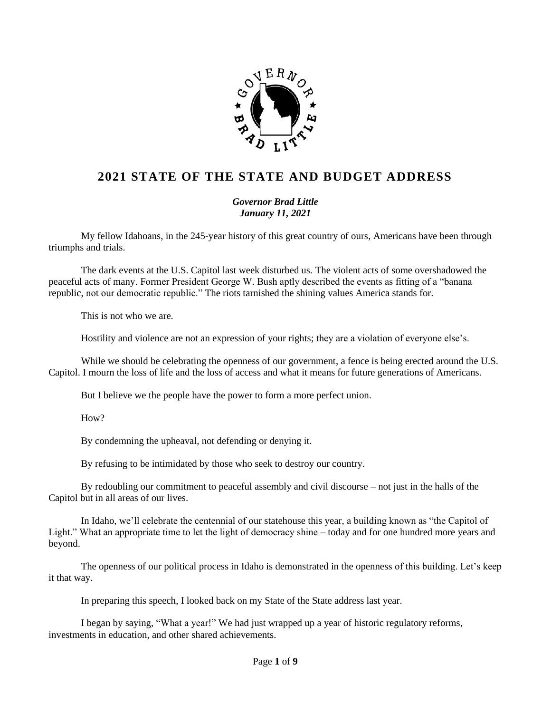

## **2021 STATE OF THE STATE AND BUDGET ADDRESS**

*Governor Brad Little January 11, 2021*

My fellow Idahoans, in the 245-year history of this great country of ours, Americans have been through triumphs and trials.

The dark events at the U.S. Capitol last week disturbed us. The violent acts of some overshadowed the peaceful acts of many. Former President George W. Bush aptly described the events as fitting of a "banana republic, not our democratic republic." The riots tarnished the shining values America stands for.

This is not who we are.

Hostility and violence are not an expression of your rights; they are a violation of everyone else's.

While we should be celebrating the openness of our government, a fence is being erected around the U.S. Capitol. I mourn the loss of life and the loss of access and what it means for future generations of Americans.

But I believe we the people have the power to form a more perfect union.

H<sub>ow</sub>?

By condemning the upheaval, not defending or denying it.

By refusing to be intimidated by those who seek to destroy our country.

By redoubling our commitment to peaceful assembly and civil discourse – not just in the halls of the Capitol but in all areas of our lives.

In Idaho, we'll celebrate the centennial of our statehouse this year, a building known as "the Capitol of Light." What an appropriate time to let the light of democracy shine – today and for one hundred more years and beyond.

The openness of our political process in Idaho is demonstrated in the openness of this building. Let's keep it that way.

In preparing this speech, I looked back on my State of the State address last year.

I began by saying, "What a year!" We had just wrapped up a year of historic regulatory reforms, investments in education, and other shared achievements.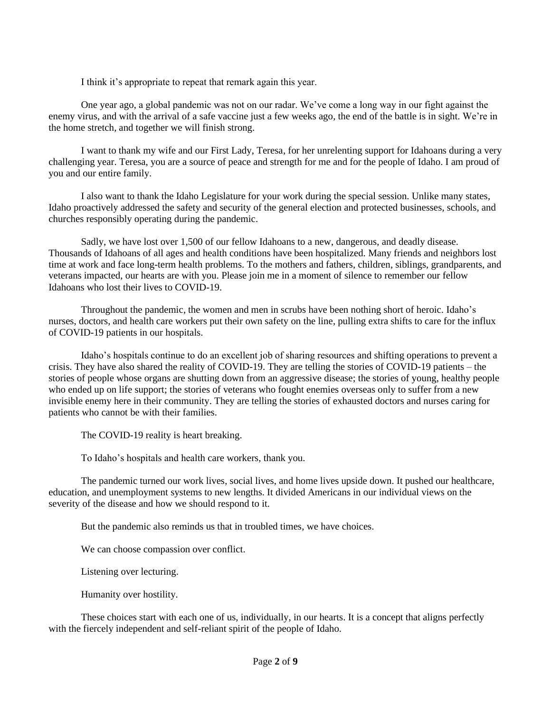I think it's appropriate to repeat that remark again this year.

One year ago, a global pandemic was not on our radar. We've come a long way in our fight against the enemy virus, and with the arrival of a safe vaccine just a few weeks ago, the end of the battle is in sight. We're in the home stretch, and together we will finish strong.

I want to thank my wife and our First Lady, Teresa, for her unrelenting support for Idahoans during a very challenging year. Teresa, you are a source of peace and strength for me and for the people of Idaho. I am proud of you and our entire family.

I also want to thank the Idaho Legislature for your work during the special session. Unlike many states, Idaho proactively addressed the safety and security of the general election and protected businesses, schools, and churches responsibly operating during the pandemic.

Sadly, we have lost over 1,500 of our fellow Idahoans to a new, dangerous, and deadly disease. Thousands of Idahoans of all ages and health conditions have been hospitalized. Many friends and neighbors lost time at work and face long-term health problems. To the mothers and fathers, children, siblings, grandparents, and veterans impacted, our hearts are with you. Please join me in a moment of silence to remember our fellow Idahoans who lost their lives to COVID-19.

Throughout the pandemic, the women and men in scrubs have been nothing short of heroic. Idaho's nurses, doctors, and health care workers put their own safety on the line, pulling extra shifts to care for the influx of COVID-19 patients in our hospitals.

Idaho's hospitals continue to do an excellent job of sharing resources and shifting operations to prevent a crisis. They have also shared the reality of COVID-19. They are telling the stories of COVID-19 patients – the stories of people whose organs are shutting down from an aggressive disease; the stories of young, healthy people who ended up on life support; the stories of veterans who fought enemies overseas only to suffer from a new invisible enemy here in their community. They are telling the stories of exhausted doctors and nurses caring for patients who cannot be with their families.

The COVID-19 reality is heart breaking.

To Idaho's hospitals and health care workers, thank you.

The pandemic turned our work lives, social lives, and home lives upside down. It pushed our healthcare, education, and unemployment systems to new lengths. It divided Americans in our individual views on the severity of the disease and how we should respond to it.

But the pandemic also reminds us that in troubled times, we have choices.

We can choose compassion over conflict.

Listening over lecturing.

Humanity over hostility.

These choices start with each one of us, individually, in our hearts. It is a concept that aligns perfectly with the fiercely independent and self-reliant spirit of the people of Idaho.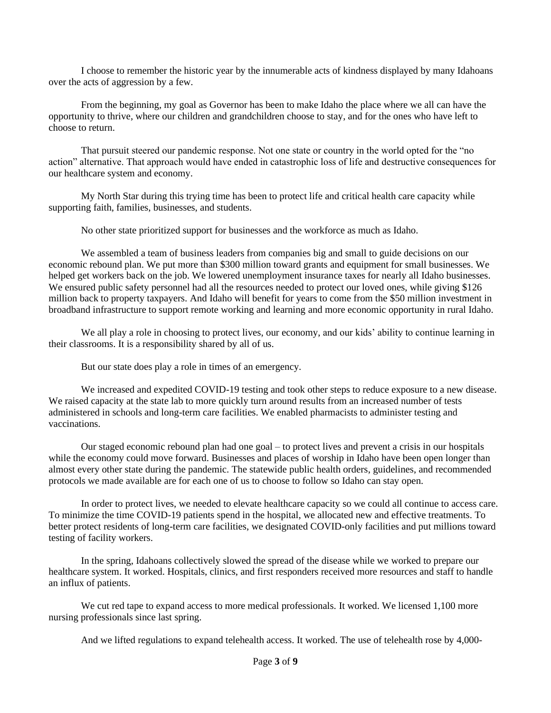I choose to remember the historic year by the innumerable acts of kindness displayed by many Idahoans over the acts of aggression by a few.

From the beginning, my goal as Governor has been to make Idaho the place where we all can have the opportunity to thrive, where our children and grandchildren choose to stay, and for the ones who have left to choose to return.

That pursuit steered our pandemic response. Not one state or country in the world opted for the "no action" alternative. That approach would have ended in catastrophic loss of life and destructive consequences for our healthcare system and economy.

My North Star during this trying time has been to protect life and critical health care capacity while supporting faith, families, businesses, and students.

No other state prioritized support for businesses and the workforce as much as Idaho.

We assembled a team of business leaders from companies big and small to guide decisions on our economic rebound plan. We put more than \$300 million toward grants and equipment for small businesses. We helped get workers back on the job. We lowered unemployment insurance taxes for nearly all Idaho businesses. We ensured public safety personnel had all the resources needed to protect our loved ones, while giving \$126 million back to property taxpayers. And Idaho will benefit for years to come from the \$50 million investment in broadband infrastructure to support remote working and learning and more economic opportunity in rural Idaho.

We all play a role in choosing to protect lives, our economy, and our kids' ability to continue learning in their classrooms. It is a responsibility shared by all of us.

But our state does play a role in times of an emergency.

We increased and expedited COVID-19 testing and took other steps to reduce exposure to a new disease. We raised capacity at the state lab to more quickly turn around results from an increased number of tests administered in schools and long-term care facilities. We enabled pharmacists to administer testing and vaccinations.

Our staged economic rebound plan had one goal – to protect lives and prevent a crisis in our hospitals while the economy could move forward. Businesses and places of worship in Idaho have been open longer than almost every other state during the pandemic. The statewide public health orders, guidelines, and recommended protocols we made available are for each one of us to choose to follow so Idaho can stay open.

In order to protect lives, we needed to elevate healthcare capacity so we could all continue to access care. To minimize the time COVID-19 patients spend in the hospital, we allocated new and effective treatments. To better protect residents of long-term care facilities, we designated COVID-only facilities and put millions toward testing of facility workers.

In the spring, Idahoans collectively slowed the spread of the disease while we worked to prepare our healthcare system. It worked. Hospitals, clinics, and first responders received more resources and staff to handle an influx of patients.

We cut red tape to expand access to more medical professionals. It worked. We licensed 1,100 more nursing professionals since last spring.

And we lifted regulations to expand telehealth access. It worked. The use of telehealth rose by 4,000-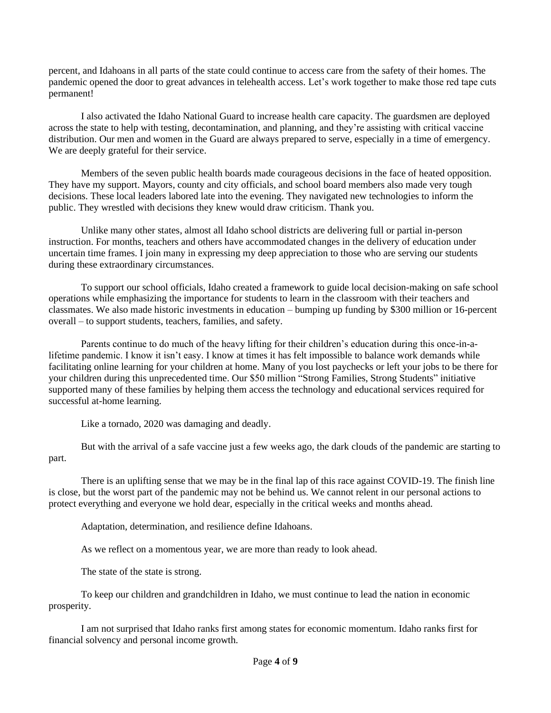percent, and Idahoans in all parts of the state could continue to access care from the safety of their homes. The pandemic opened the door to great advances in telehealth access. Let's work together to make those red tape cuts permanent!

I also activated the Idaho National Guard to increase health care capacity. The guardsmen are deployed across the state to help with testing, decontamination, and planning, and they're assisting with critical vaccine distribution. Our men and women in the Guard are always prepared to serve, especially in a time of emergency. We are deeply grateful for their service.

Members of the seven public health boards made courageous decisions in the face of heated opposition. They have my support. Mayors, county and city officials, and school board members also made very tough decisions. These local leaders labored late into the evening. They navigated new technologies to inform the public. They wrestled with decisions they knew would draw criticism. Thank you.

Unlike many other states, almost all Idaho school districts are delivering full or partial in-person instruction. For months, teachers and others have accommodated changes in the delivery of education under uncertain time frames. I join many in expressing my deep appreciation to those who are serving our students during these extraordinary circumstances.

To support our school officials, Idaho created a framework to guide local decision-making on safe school operations while emphasizing the importance for students to learn in the classroom with their teachers and classmates. We also made historic investments in education – bumping up funding by \$300 million or 16-percent overall – to support students, teachers, families, and safety.

Parents continue to do much of the heavy lifting for their children's education during this once-in-alifetime pandemic. I know it isn't easy. I know at times it has felt impossible to balance work demands while facilitating online learning for your children at home. Many of you lost paychecks or left your jobs to be there for your children during this unprecedented time. Our \$50 million "Strong Families, Strong Students" initiative supported many of these families by helping them access the technology and educational services required for successful at-home learning.

Like a tornado, 2020 was damaging and deadly.

But with the arrival of a safe vaccine just a few weeks ago, the dark clouds of the pandemic are starting to part.

There is an uplifting sense that we may be in the final lap of this race against COVID-19. The finish line is close, but the worst part of the pandemic may not be behind us. We cannot relent in our personal actions to protect everything and everyone we hold dear, especially in the critical weeks and months ahead.

Adaptation, determination, and resilience define Idahoans.

As we reflect on a momentous year, we are more than ready to look ahead.

The state of the state is strong.

To keep our children and grandchildren in Idaho, we must continue to lead the nation in economic prosperity.

I am not surprised that Idaho ranks first among states for economic momentum. Idaho ranks first for financial solvency and personal income growth.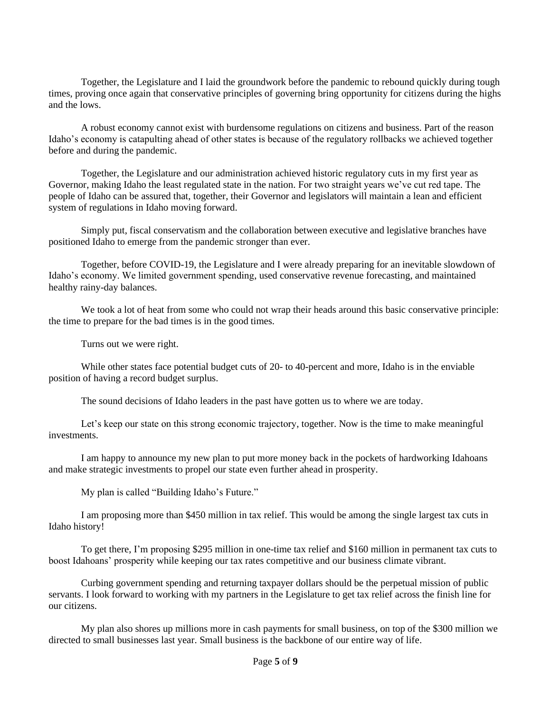Together, the Legislature and I laid the groundwork before the pandemic to rebound quickly during tough times, proving once again that conservative principles of governing bring opportunity for citizens during the highs and the lows.

A robust economy cannot exist with burdensome regulations on citizens and business. Part of the reason Idaho's economy is catapulting ahead of other states is because of the regulatory rollbacks we achieved together before and during the pandemic.

Together, the Legislature and our administration achieved historic regulatory cuts in my first year as Governor, making Idaho the least regulated state in the nation. For two straight years we've cut red tape. The people of Idaho can be assured that, together, their Governor and legislators will maintain a lean and efficient system of regulations in Idaho moving forward.

Simply put, fiscal conservatism and the collaboration between executive and legislative branches have positioned Idaho to emerge from the pandemic stronger than ever.

Together, before COVID-19, the Legislature and I were already preparing for an inevitable slowdown of Idaho's economy. We limited government spending, used conservative revenue forecasting, and maintained healthy rainy-day balances.

We took a lot of heat from some who could not wrap their heads around this basic conservative principle: the time to prepare for the bad times is in the good times.

Turns out we were right.

While other states face potential budget cuts of 20- to 40-percent and more, Idaho is in the enviable position of having a record budget surplus.

The sound decisions of Idaho leaders in the past have gotten us to where we are today.

Let's keep our state on this strong economic trajectory, together. Now is the time to make meaningful investments.

I am happy to announce my new plan to put more money back in the pockets of hardworking Idahoans and make strategic investments to propel our state even further ahead in prosperity.

My plan is called "Building Idaho's Future."

I am proposing more than \$450 million in tax relief. This would be among the single largest tax cuts in Idaho history!

To get there, I'm proposing \$295 million in one-time tax relief and \$160 million in permanent tax cuts to boost Idahoans' prosperity while keeping our tax rates competitive and our business climate vibrant.

Curbing government spending and returning taxpayer dollars should be the perpetual mission of public servants. I look forward to working with my partners in the Legislature to get tax relief across the finish line for our citizens.

My plan also shores up millions more in cash payments for small business, on top of the \$300 million we directed to small businesses last year. Small business is the backbone of our entire way of life.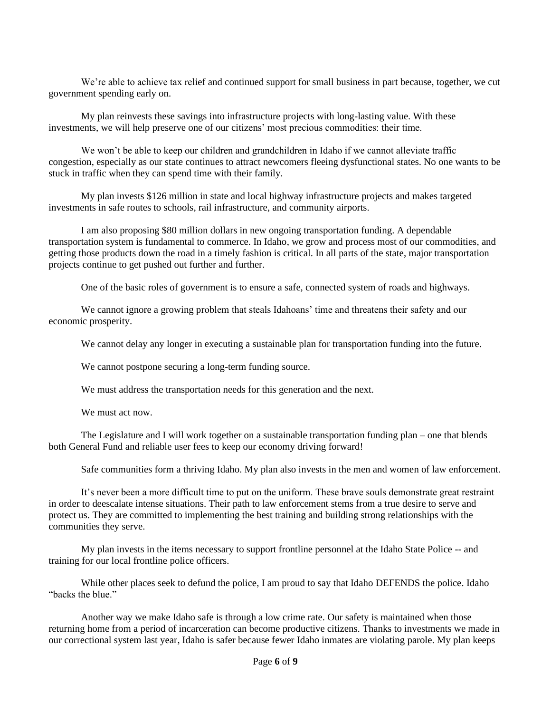We're able to achieve tax relief and continued support for small business in part because, together, we cut government spending early on.

My plan reinvests these savings into infrastructure projects with long-lasting value. With these investments, we will help preserve one of our citizens' most precious commodities: their time.

We won't be able to keep our children and grandchildren in Idaho if we cannot alleviate traffic congestion, especially as our state continues to attract newcomers fleeing dysfunctional states. No one wants to be stuck in traffic when they can spend time with their family.

My plan invests \$126 million in state and local highway infrastructure projects and makes targeted investments in safe routes to schools, rail infrastructure, and community airports.

I am also proposing \$80 million dollars in new ongoing transportation funding. A dependable transportation system is fundamental to commerce. In Idaho, we grow and process most of our commodities, and getting those products down the road in a timely fashion is critical. In all parts of the state, major transportation projects continue to get pushed out further and further.

One of the basic roles of government is to ensure a safe, connected system of roads and highways.

We cannot ignore a growing problem that steals Idahoans' time and threatens their safety and our economic prosperity.

We cannot delay any longer in executing a sustainable plan for transportation funding into the future.

We cannot postpone securing a long-term funding source.

We must address the transportation needs for this generation and the next.

We must act now.

The Legislature and I will work together on a sustainable transportation funding plan – one that blends both General Fund and reliable user fees to keep our economy driving forward!

Safe communities form a thriving Idaho. My plan also invests in the men and women of law enforcement.

It's never been a more difficult time to put on the uniform. These brave souls demonstrate great restraint in order to deescalate intense situations. Their path to law enforcement stems from a true desire to serve and protect us. They are committed to implementing the best training and building strong relationships with the communities they serve.

My plan invests in the items necessary to support frontline personnel at the Idaho State Police -- and training for our local frontline police officers.

While other places seek to defund the police, I am proud to say that Idaho DEFENDS the police. Idaho "backs the blue."

Another way we make Idaho safe is through a low crime rate. Our safety is maintained when those returning home from a period of incarceration can become productive citizens. Thanks to investments we made in our correctional system last year, Idaho is safer because fewer Idaho inmates are violating parole. My plan keeps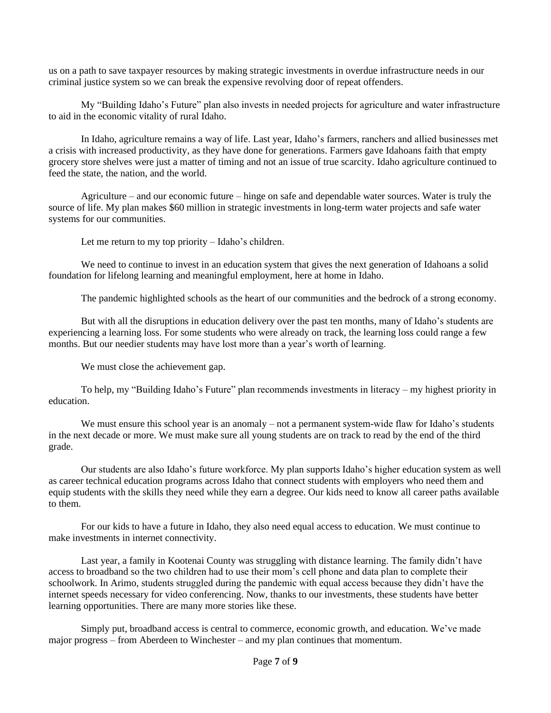us on a path to save taxpayer resources by making strategic investments in overdue infrastructure needs in our criminal justice system so we can break the expensive revolving door of repeat offenders.

My "Building Idaho's Future" plan also invests in needed projects for agriculture and water infrastructure to aid in the economic vitality of rural Idaho.

In Idaho, agriculture remains a way of life. Last year, Idaho's farmers, ranchers and allied businesses met a crisis with increased productivity, as they have done for generations. Farmers gave Idahoans faith that empty grocery store shelves were just a matter of timing and not an issue of true scarcity. Idaho agriculture continued to feed the state, the nation, and the world.

Agriculture – and our economic future – hinge on safe and dependable water sources. Water is truly the source of life. My plan makes \$60 million in strategic investments in long-term water projects and safe water systems for our communities.

Let me return to my top priority – Idaho's children.

We need to continue to invest in an education system that gives the next generation of Idahoans a solid foundation for lifelong learning and meaningful employment, here at home in Idaho.

The pandemic highlighted schools as the heart of our communities and the bedrock of a strong economy.

But with all the disruptions in education delivery over the past ten months, many of Idaho's students are experiencing a learning loss. For some students who were already on track, the learning loss could range a few months. But our needier students may have lost more than a year's worth of learning.

We must close the achievement gap.

To help, my "Building Idaho's Future" plan recommends investments in literacy – my highest priority in education.

We must ensure this school year is an anomaly – not a permanent system-wide flaw for Idaho's students in the next decade or more. We must make sure all young students are on track to read by the end of the third grade.

Our students are also Idaho's future workforce. My plan supports Idaho's higher education system as well as career technical education programs across Idaho that connect students with employers who need them and equip students with the skills they need while they earn a degree. Our kids need to know all career paths available to them.

For our kids to have a future in Idaho, they also need equal access to education. We must continue to make investments in internet connectivity.

Last year, a family in Kootenai County was struggling with distance learning. The family didn't have access to broadband so the two children had to use their mom's cell phone and data plan to complete their schoolwork. In Arimo, students struggled during the pandemic with equal access because they didn't have the internet speeds necessary for video conferencing. Now, thanks to our investments, these students have better learning opportunities. There are many more stories like these.

Simply put, broadband access is central to commerce, economic growth, and education. We've made major progress – from Aberdeen to Winchester – and my plan continues that momentum.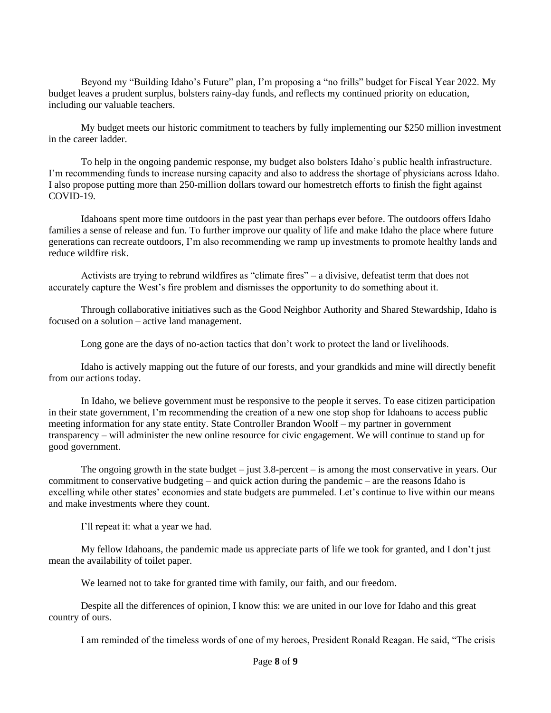Beyond my "Building Idaho's Future" plan, I'm proposing a "no frills" budget for Fiscal Year 2022. My budget leaves a prudent surplus, bolsters rainy-day funds, and reflects my continued priority on education, including our valuable teachers.

My budget meets our historic commitment to teachers by fully implementing our \$250 million investment in the career ladder.

To help in the ongoing pandemic response, my budget also bolsters Idaho's public health infrastructure. I'm recommending funds to increase nursing capacity and also to address the shortage of physicians across Idaho. I also propose putting more than 250-million dollars toward our homestretch efforts to finish the fight against COVID-19.

Idahoans spent more time outdoors in the past year than perhaps ever before. The outdoors offers Idaho families a sense of release and fun. To further improve our quality of life and make Idaho the place where future generations can recreate outdoors, I'm also recommending we ramp up investments to promote healthy lands and reduce wildfire risk.

Activists are trying to rebrand wildfires as "climate fires" – a divisive, defeatist term that does not accurately capture the West's fire problem and dismisses the opportunity to do something about it.

Through collaborative initiatives such as the Good Neighbor Authority and Shared Stewardship, Idaho is focused on a solution – active land management.

Long gone are the days of no-action tactics that don't work to protect the land or livelihoods.

Idaho is actively mapping out the future of our forests, and your grandkids and mine will directly benefit from our actions today.

In Idaho, we believe government must be responsive to the people it serves. To ease citizen participation in their state government, I'm recommending the creation of a new one stop shop for Idahoans to access public meeting information for any state entity. State Controller Brandon Woolf – my partner in government transparency – will administer the new online resource for civic engagement. We will continue to stand up for good government.

The ongoing growth in the state budget – just 3.8-percent – is among the most conservative in years. Our commitment to conservative budgeting – and quick action during the pandemic – are the reasons Idaho is excelling while other states' economies and state budgets are pummeled. Let's continue to live within our means and make investments where they count.

I'll repeat it: what a year we had.

My fellow Idahoans, the pandemic made us appreciate parts of life we took for granted, and I don't just mean the availability of toilet paper.

We learned not to take for granted time with family, our faith, and our freedom.

Despite all the differences of opinion, I know this: we are united in our love for Idaho and this great country of ours.

I am reminded of the timeless words of one of my heroes, President Ronald Reagan. He said, "The crisis